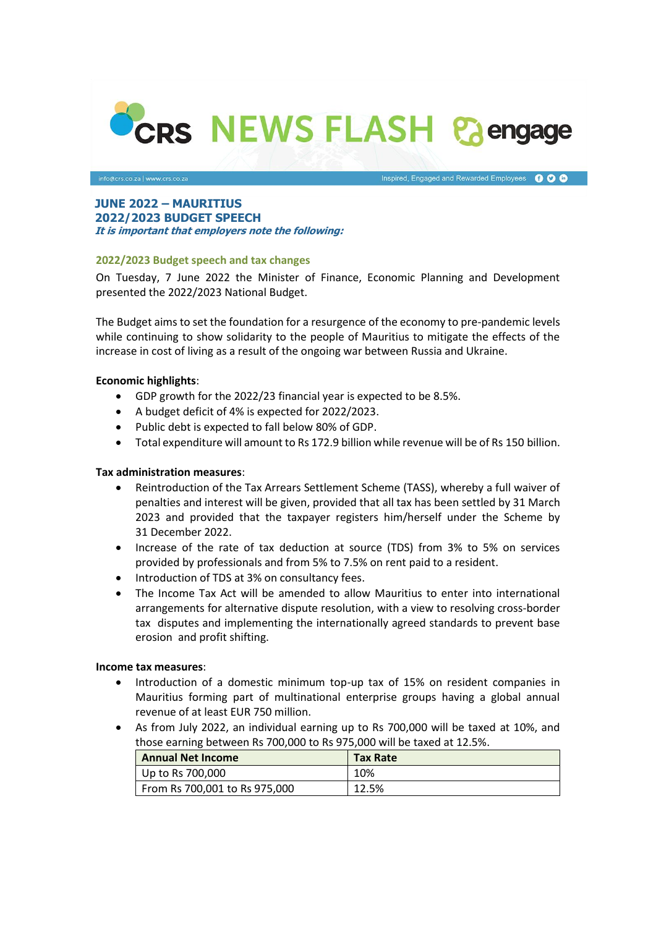

Inspired, Engaged and Rewarded Employees **OOO** 

#### **JUNE 2022 – MAURITIUS 2022/2023 BUDGET SPEECH It is important that employers note the following:**

## **2022/2023 Budget speech and tax changes**

On Tuesday, 7 June 2022 the Minister of Finance, Economic Planning and Development presented the 2022/2023 National Budget.

The Budget aims to set the foundation for a resurgence of the economy to pre-pandemic levels while continuing to show solidarity to the people of Mauritius to mitigate the effects of the increase in cost of living as a result of the ongoing war between Russia and Ukraine.

## **Economic highlights**:

- GDP growth for the 2022/23 financial year is expected to be 8.5%.
- A budget deficit of 4% is expected for 2022/2023.
- Public debt is expected to fall below 80% of GDP.
- Total expenditure will amount to Rs 172.9 billion while revenue will be of Rs 150 billion.

# **Tax administration measures**:

- Reintroduction of the Tax Arrears Settlement Scheme (TASS), whereby a full waiver of penalties and interest will be given, provided that all tax has been settled by 31 March 2023 and provided that the taxpayer registers him/herself under the Scheme by 31 December 2022.
- Increase of the rate of tax deduction at source (TDS) from 3% to 5% on services provided by professionals and from 5% to 7.5% on rent paid to a resident.
- Introduction of TDS at 3% on consultancy fees.
- The Income Tax Act will be amended to allow Mauritius to enter into international arrangements for alternative dispute resolution, with a view to resolving cross-border tax disputes and implementing the internationally agreed standards to prevent base erosion and profit shifting.

#### **Income tax measures**:

- Introduction of a domestic minimum top-up tax of 15% on resident companies in Mauritius forming part of multinational enterprise groups having a global annual revenue of at least EUR 750 million.
- As from July 2022, an individual earning up to Rs 700,000 will be taxed at 10%, and those earning between Rs 700,000 to Rs 975,000 will be taxed at 12.5%.

| <b>Annual Net Income</b>      | <b>Tax Rate</b> |
|-------------------------------|-----------------|
| Up to Rs $700,000$            | 10%             |
| From Rs 700,001 to Rs 975,000 | 12.5%           |